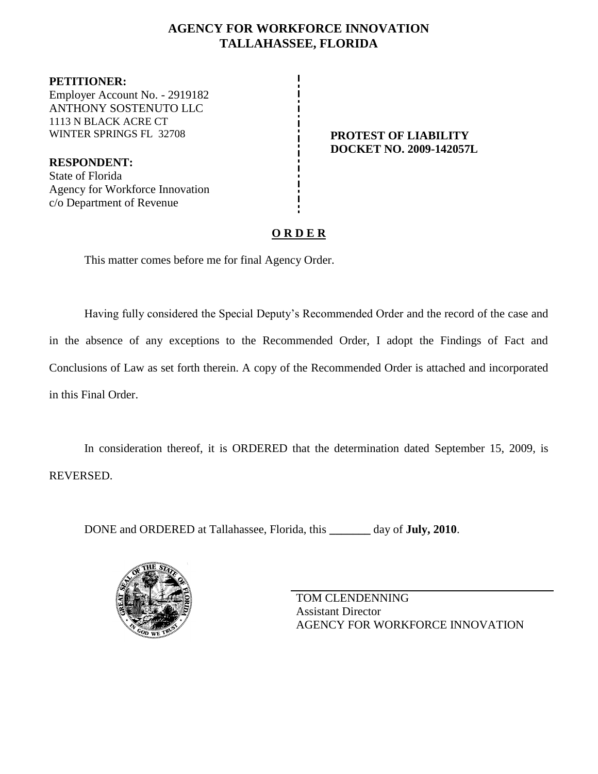## **AGENCY FOR WORKFORCE INNOVATION TALLAHASSEE, FLORIDA**

**PETITIONER:** Employer Account No. - 2919182 ANTHONY SOSTENUTO LLC 1113 N BLACK ACRE CT WINTER SPRINGS FL 32708 **PROTEST OF LIABILITY** 

**RESPONDENT:** State of Florida Agency for Workforce Innovation c/o Department of Revenue

**DOCKET NO. 2009-142057L**

## **O R D E R**

This matter comes before me for final Agency Order.

Having fully considered the Special Deputy's Recommended Order and the record of the case and in the absence of any exceptions to the Recommended Order, I adopt the Findings of Fact and Conclusions of Law as set forth therein. A copy of the Recommended Order is attached and incorporated in this Final Order.

In consideration thereof, it is ORDERED that the determination dated September 15, 2009, is REVERSED.

DONE and ORDERED at Tallahassee, Florida, this **\_\_\_\_\_\_\_** day of **July, 2010**.



TOM CLENDENNING Assistant Director AGENCY FOR WORKFORCE INNOVATION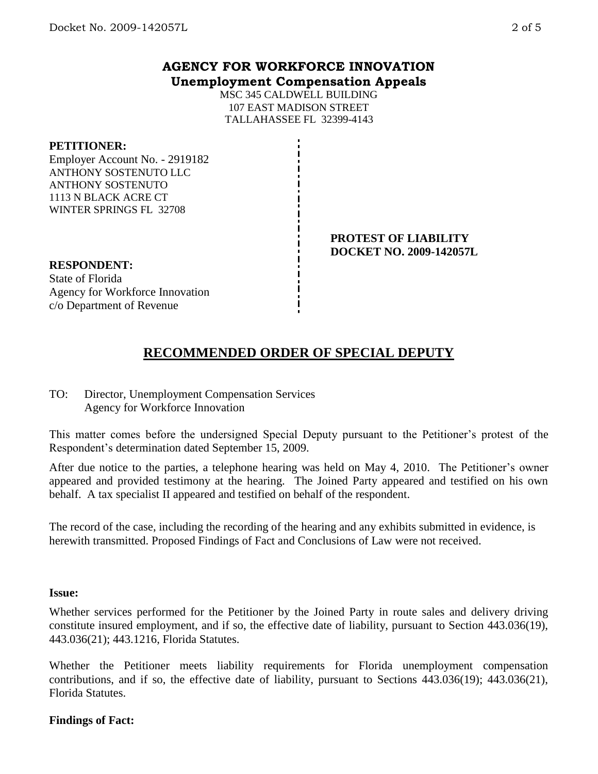MSC 345 CALDWELL BUILDING 107 EAST MADISON STREET TALLAHASSEE FL 32399-4143

### **PETITIONER:**

Employer Account No. - 2919182 ANTHONY SOSTENUTO LLC ANTHONY SOSTENUTO 1113 N BLACK ACRE CT WINTER SPRINGS FL 32708

> **PROTEST OF LIABILITY DOCKET NO. 2009-142057L**

## **RESPONDENT:**

State of Florida Agency for Workforce Innovation c/o Department of Revenue

# **RECOMMENDED ORDER OF SPECIAL DEPUTY**

TO: Director, Unemployment Compensation Services Agency for Workforce Innovation

This matter comes before the undersigned Special Deputy pursuant to the Petitioner's protest of the Respondent's determination dated September 15, 2009.

After due notice to the parties, a telephone hearing was held on May 4, 2010. The Petitioner's owner appeared and provided testimony at the hearing. The Joined Party appeared and testified on his own behalf. A tax specialist II appeared and testified on behalf of the respondent.

The record of the case, including the recording of the hearing and any exhibits submitted in evidence, is herewith transmitted. Proposed Findings of Fact and Conclusions of Law were not received.

### **Issue:**

Whether services performed for the Petitioner by the Joined Party in route sales and delivery driving constitute insured employment, and if so, the effective date of liability, pursuant to Section 443.036(19), 443.036(21); 443.1216, Florida Statutes.

Whether the Petitioner meets liability requirements for Florida unemployment compensation contributions, and if so, the effective date of liability, pursuant to Sections 443.036(19); 443.036(21), Florida Statutes.

### **Findings of Fact:**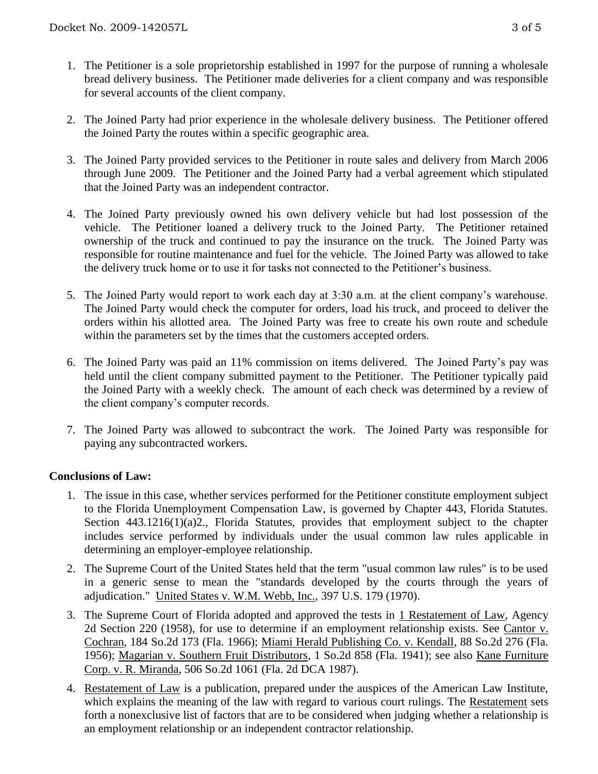- 1. The Petitioner is a sole proprietorship established in 1997 for the purpose of running a wholesale bread delivery business. The Petitioner made deliveries for a client company and was responsible for several accounts of the client company.
- 2. The Joined Party had prior experience in the wholesale delivery business. The Petitioner offered the Joined Party the routes within a specific geographic area.
- 3. The Joined Party provided services to the Petitioner in route sales and delivery from March 2006 through June 2009. The Petitioner and the Joined Party had a verbal agreement which stipulated that the Joined Party was an independent contractor.
- 4. The Joined Party previously owned his own delivery vehicle but had lost possession of the vehicle. The Petitioner loaned a delivery truck to the Joined Party. The Petitioner retained ownership of the truck and continued to pay the insurance on the truck. The Joined Party was responsible for routine maintenance and fuel for the vehicle. The Joined Party was allowed to take the delivery truck home or to use it for tasks not connected to the Petitioner's business.
- 5. The Joined Party would report to work each day at 3:30 a.m. at the client company's warehouse. The Joined Party would check the computer for orders, load his truck, and proceed to deliver the orders within his allotted area. The Joined Party was free to create his own route and schedule within the parameters set by the times that the customers accepted orders.
- 6. The Joined Party was paid an 11% commission on items delivered. The Joined Party's pay was held until the client company submitted payment to the Petitioner. The Petitioner typically paid the Joined Party with a weekly check. The amount of each check was determined by a review of the client company's computer records.
- 7. The Joined Party was allowed to subcontract the work. The Joined Party was responsible for paying any subcontracted workers.

### **Conclusions of Law:**

- 1. The issue in this case, whether services performed for the Petitioner constitute employment subject to the Florida Unemployment Compensation Law, is governed by Chapter 443, Florida Statutes. Section 443.1216(1)(a)2., Florida Statutes, provides that employment subject to the chapter includes service performed by individuals under the usual common law rules applicable in determining an employer-employee relationship.
- 2. The Supreme Court of the United States held that the term "usual common law rules" is to be used in a generic sense to mean the "standards developed by the courts through the years of adjudication." United States v. W.M. Webb, Inc., 397 U.S. 179 (1970).
- 3. The Supreme Court of Florida adopted and approved the tests in 1 Restatement of Law, Agency 2d Section 220 (1958), for use to determine if an employment relationship exists. See Cantor v. Cochran, 184 So.2d 173 (Fla. 1966); Miami Herald Publishing Co. v. Kendall, 88 So.2d 276 (Fla. 1956); Magarian v. Southern Fruit Distributors, 1 So.2d 858 (Fla. 1941); see also Kane Furniture Corp. v. R. Miranda, 506 So.2d 1061 (Fla. 2d DCA 1987).
- 4. Restatement of Law is a publication, prepared under the auspices of the American Law Institute, which explains the meaning of the law with regard to various court rulings. The Restatement sets forth a nonexclusive list of factors that are to be considered when judging whether a relationship is an employment relationship or an independent contractor relationship.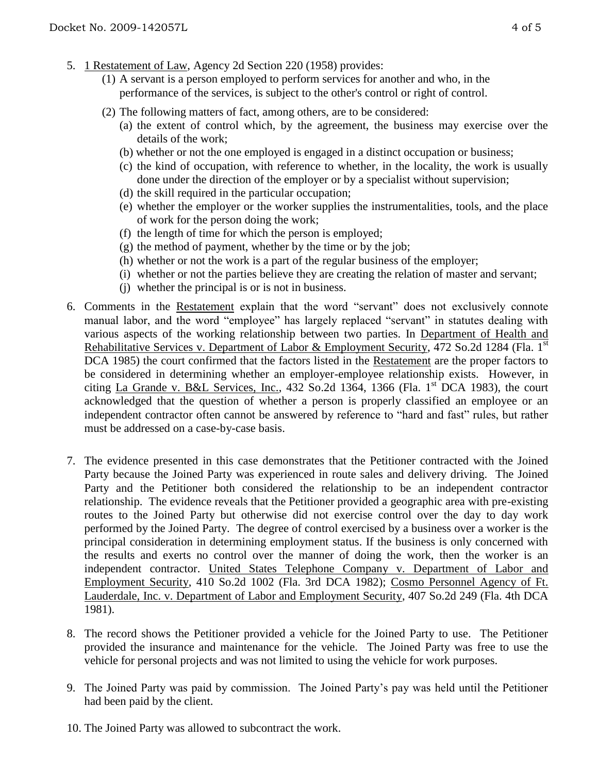- 5. 1 Restatement of Law, Agency 2d Section 220 (1958) provides:
	- (1) A servant is a person employed to perform services for another and who, in the performance of the services, is subject to the other's control or right of control.
	- (2) The following matters of fact, among others, are to be considered:
		- (a) the extent of control which, by the agreement, the business may exercise over the details of the work;
		- (b) whether or not the one employed is engaged in a distinct occupation or business;
		- (c) the kind of occupation, with reference to whether, in the locality, the work is usually done under the direction of the employer or by a specialist without supervision;
		- (d) the skill required in the particular occupation;
		- (e) whether the employer or the worker supplies the instrumentalities, tools, and the place of work for the person doing the work;
		- (f) the length of time for which the person is employed;
		- (g) the method of payment, whether by the time or by the job;
		- (h) whether or not the work is a part of the regular business of the employer;
		- (i) whether or not the parties believe they are creating the relation of master and servant;
		- (j) whether the principal is or is not in business.
- 6. Comments in the Restatement explain that the word "servant" does not exclusively connote manual labor, and the word "employee" has largely replaced "servant" in statutes dealing with various aspects of the working relationship between two parties. In Department of Health and Rehabilitative Services v. Department of Labor & Employment Security, 472 So.2d 1284 (Fla. 1<sup>st</sup>) DCA 1985) the court confirmed that the factors listed in the Restatement are the proper factors to be considered in determining whether an employer-employee relationship exists. However, in citing La Grande v. B&L Services, Inc., 432 So.2d 1364, 1366 (Fla. 1st DCA 1983), the court acknowledged that the question of whether a person is properly classified an employee or an independent contractor often cannot be answered by reference to "hard and fast" rules, but rather must be addressed on a case-by-case basis.
- 7. The evidence presented in this case demonstrates that the Petitioner contracted with the Joined Party because the Joined Party was experienced in route sales and delivery driving. The Joined Party and the Petitioner both considered the relationship to be an independent contractor relationship. The evidence reveals that the Petitioner provided a geographic area with pre-existing routes to the Joined Party but otherwise did not exercise control over the day to day work performed by the Joined Party. The degree of control exercised by a business over a worker is the principal consideration in determining employment status. If the business is only concerned with the results and exerts no control over the manner of doing the work, then the worker is an independent contractor. United States Telephone Company v. Department of Labor and Employment Security, 410 So.2d 1002 (Fla. 3rd DCA 1982); Cosmo Personnel Agency of Ft. Lauderdale, Inc. v. Department of Labor and Employment Security, 407 So.2d 249 (Fla. 4th DCA 1981).
- 8. The record shows the Petitioner provided a vehicle for the Joined Party to use. The Petitioner provided the insurance and maintenance for the vehicle. The Joined Party was free to use the vehicle for personal projects and was not limited to using the vehicle for work purposes.
- 9. The Joined Party was paid by commission. The Joined Party's pay was held until the Petitioner had been paid by the client.
- 10. The Joined Party was allowed to subcontract the work.